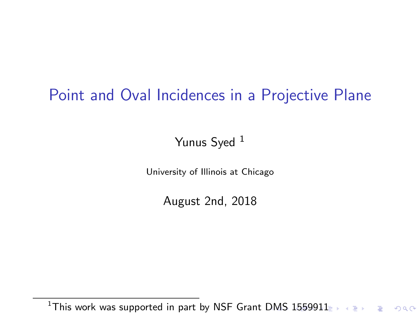# <span id="page-0-0"></span>Point and Oval Incidences in a Projective Plane

#### Yunus Syed <sup>1</sup>

University of Illinois at Chicago

August 2nd, 2018

<sup>&</sup>lt;sup>1</sup>This work was supported in part by NSF Grant [DM](#page-0-0)[S](#page-1-0) [1559](#page-0-0)[9](#page-1-0)[11](#page-0-0)  $\Rightarrow$   $\bullet \equiv$   $\Rightarrow$   $\bullet \Rightarrow$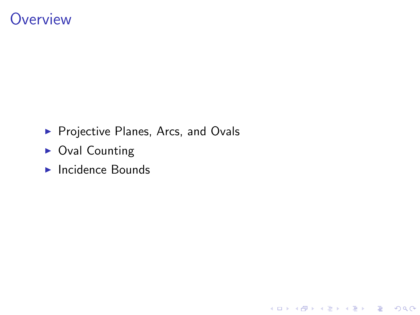## <span id="page-1-0"></span>**Overview**

**Projective Planes, Arcs, and Ovals** 

イロト イ御 トイミト イミト ニミー りんぴ

- $\triangleright$  Oval Counting
- $\blacktriangleright$  Incidence Bounds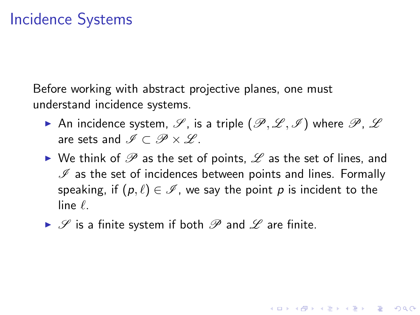Before working with abstract projective planes, one must understand incidence systems.

- An incidence system,  $\mathscr{S}$ , is a triple  $(\mathscr{P}, \mathscr{L}, \mathscr{I})$  where  $\mathscr{P}, \mathscr{L}$ are sets and  $\mathscr{I} \subset \mathscr{P} \times \mathscr{L}$ .
- $\triangleright$  We think of  $\mathscr P$  as the set of points,  $\mathscr L$  as the set of lines, and  $I$  as the set of incidences between points and lines. Formally speaking, if  $(p, \ell) \in \mathscr{I}$ , we say the point p is incident to the  $\lim_{\epsilon}$

**KORKAR KERKER EL VOLO** 

 $\triangleright$   $\mathscr S$  is a finite system if both  $\mathscr P$  and  $\mathscr L$  are finite.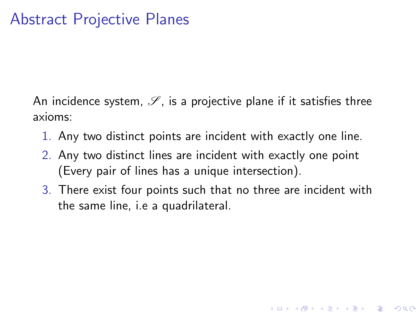An incidence system,  $\mathscr S$ , is a projective plane if it satisfies three axioms:

- 1. Any two distinct points are incident with exactly one line.
- 2. Any two distinct lines are incident with exactly one point (Every pair of lines has a unique intersection).
- 3. There exist four points such that no three are incident with the same line, i.e a quadrilateral.

**KORK ERKER ADE YOUR**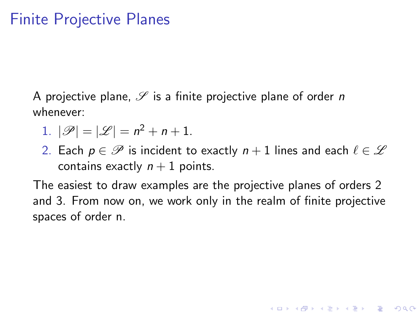# Finite Projective Planes

A projective plane,  $\mathscr S$  is a finite projective plane of order n whenever:

- 1.  $|\mathscr{P}| = |\mathscr{L}| = n^2 + n + 1$ .
- 2. Each  $p \in \mathscr{P}$  is incident to exactly  $n + 1$  lines and each  $\ell \in \mathscr{L}$ contains exactly  $n + 1$  points.

The easiest to draw examples are the projective planes of orders 2 and 3. From now on, we work only in the realm of finite projective spaces of order n.

**KORK ERKER ADE YOUR**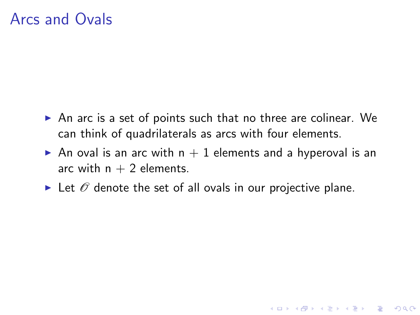# Arcs and Ovals

- $\triangleright$  An arc is a set of points such that no three are colinear. We can think of quadrilaterals as arcs with four elements.
- An oval is an arc with  $n + 1$  elements and a hyperoval is an arc with  $n + 2$  elements.

**KORK ERKER ADE YOUR** 

In Let  $\mathscr O$  denote the set of all ovals in our projective plane.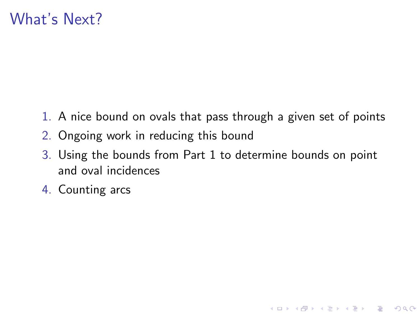# What's Next?

- 1. A nice bound on ovals that pass through a given set of points
- 2. Ongoing work in reducing this bound
- 3. Using the bounds from Part 1 to determine bounds on point and oval incidences

K ロ ▶ K @ ▶ K 할 > K 할 > 1 할 > 1 이익어

4. Counting arcs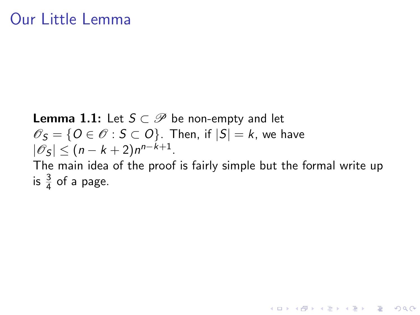### Our Little Lemma

**Lemma 1.1:** Let  $S \subset \mathcal{P}$  be non-empty and let  $\mathscr{O}_S = \{O \in \mathscr{O} : S \subset O\}$ . Then, if  $|S| = k$ , we have  $|\mathscr{O}_S| \leq (n-k+2)n^{n-k+1}.$ The main idea of the proof is fairly simple but the formal write up is  $\frac{3}{4}$  of a page.

4 D > 4 P + 4 B + 4 B + B + 9 Q O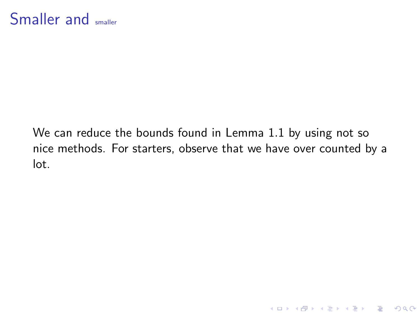We can reduce the bounds found in Lemma 1.1 by using not so nice methods. For starters, observe that we have over counted by a lot.

K ロ ▶ K @ ▶ K 할 ▶ K 할 ▶ | 할 | © 9 Q @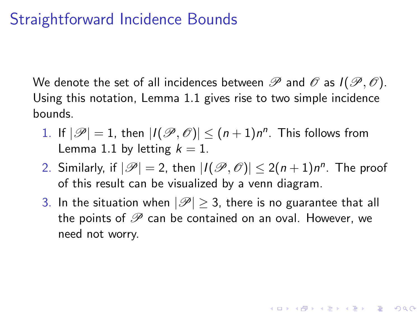# Straightforward Incidence Bounds

We denote the set of all incidences between  $\mathscr P$  and  $\mathscr O$  as  $I(\mathscr P,\mathscr O)$ . Using this notation, Lemma 1.1 gives rise to two simple incidence bounds.

- 1. If  $|\mathscr{P}| = 1$ , then  $|I(\mathscr{P}, \mathscr{O})| \leq (n+1)n^n$ . This follows from Lemma 1.1 by letting  $k = 1$ .
- 2. Similarly, if  $|\mathscr{P}| = 2$ , then  $|I(\mathscr{P}, \mathscr{O})| \leq 2(n+1)n^n$ . The proof of this result can be visualized by a venn diagram.
- 3. In the situation when  $|\mathscr{P}| \geq 3$ , there is no guarantee that all the points of  $\mathscr P$  can be contained on an oval. However, we need not worry.

**KORKAR KERKER EL VOLO**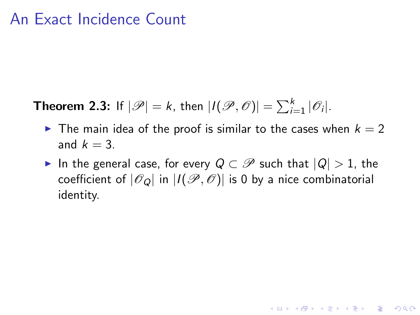#### An Exact Incidence Count

**Theorem 2.3:** If  $|\mathscr{P}| = k$ , then  $|I(\mathscr{P}, \mathscr{O})| = \sum_{i=1}^{k} |\mathscr{O}_i|$ .

- In The main idea of the proof is similar to the cases when  $k = 2$ and  $k = 3$ .
- $\triangleright$  In the general case, for every  $Q \subset \mathscr{P}$  such that  $|Q| > 1$ , the coefficient of  $|\mathscr{O}_Q|$  in  $|I(\mathscr{P}, \mathscr{O})|$  is 0 by a nice combinatorial identity.

**KORK ERKER ADE YOUR**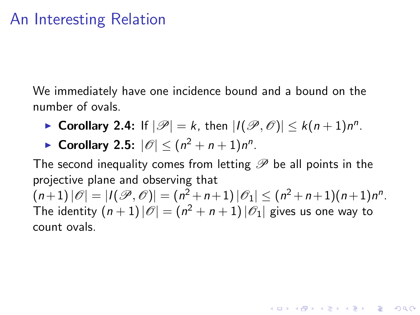# An Interesting Relation

We immediately have one incidence bound and a bound on the number of ovals.

- ▶ Corollary 2.4: If  $|\mathscr{P}| = k$ , then  $|I(\mathscr{P}, \mathscr{O})| \leq k(n+1)n^n$ .
- ▶ Corollary 2.5:  $|\mathscr{O}| \leq (n^2 + n + 1)n^n$ .

The second inequality comes from letting  $\mathscr P$  be all points in the projective plane and observing that  $\bigl( n\!+\!1\bigr) |\mathscr{O}| = |I(\mathscr{P}, \mathscr{O})| = (n^2\!+\!n\!+\!1)|\mathscr{O}_1| \leq (n^2\!+\!n\!+\!1)(n\!+\!1)n^n.$ The identity  $(n+1)\,|\mathscr{O}|=(n^2+n+1)\,|\mathscr{O}_1|$  gives us one way to count ovals.

**A O A G A 4 O A C A G A G A 4 O A C A**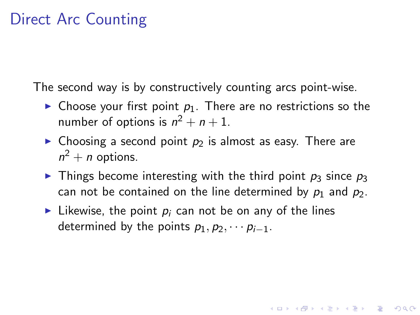# Direct Arc Counting

The second way is by constructively counting arcs point-wise.

- $\triangleright$  Choose your first point  $p_1$ . There are no restrictions so the number of options is  $n^2 + n + 1$ .
- Choosing a second point  $p_2$  is almost as easy. There are  $n^2 + n$  options.
- In Things become interesting with the third point  $p_3$  since  $p_3$ can not be contained on the line determined by  $p_1$  and  $p_2$ .

**KORKA SERKER ORA** 

In Likewise, the point  $p_i$  can not be on any of the lines determined by the points  $p_1, p_2, \cdots p_{i-1}$ .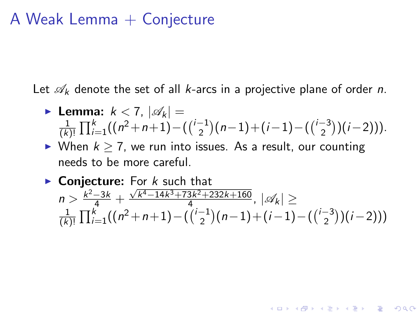### A Weak Lemma  $+$  Conjecture

Let  $\mathscr{A}_k$  denote the set of all k-arcs in a projective plane of order n.

► Lemma: 
$$
k < 7
$$
,  $|\mathscr{A}_k|$  =   
\n
$$
\frac{1}{(k)!} \prod_{i=1}^k ((n^2 + n + 1) - ((\binom{i-1}{2})(n-1) + (i-1) - ((\binom{i-3}{2})(i-2))).
$$

- I When  $k > 7$ , we run into issues. As a result, our counting needs to be more careful.
- $\triangleright$  Conjecture: For  $k$  such that  $n > \frac{k^2-3k}{4} + \frac{\sqrt{k^4-14k^3+73k^2+232k+160k^2}}{4}$  $\frac{3k^2+232k+100}{4}$ ,  $|\mathscr{A}_k| \ge$ 1  $\frac{1}{(k)!}$   $\prod_{i=1}^{k}((n^2+n+1)-\binom{i-1}{2})$  $\binom{-1}{2}(n-1) + (i-1) - (\binom{i-3}{2})$  $\binom{-3}{2}(i-2))$

**KORKARYKERKE POLO**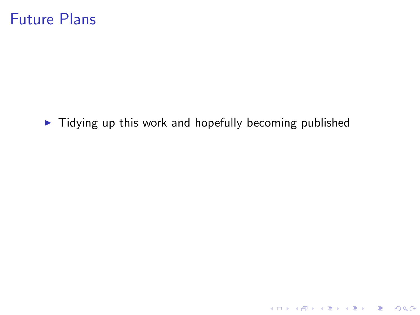$\blacktriangleright$  Tidying up this work and hopefully becoming published

K ロ ▶ K @ ▶ K 할 ▶ K 할 ▶ | 할 | 2000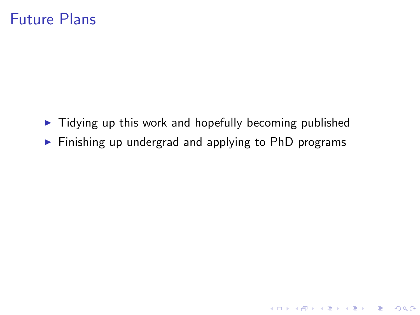- $\blacktriangleright$  Tidying up this work and hopefully becoming published
- $\triangleright$  Finishing up undergrad and applying to PhD programs

K ロ ▶ K @ ▶ K 할 ▶ K 할 ▶ | 할 | © 9 Q @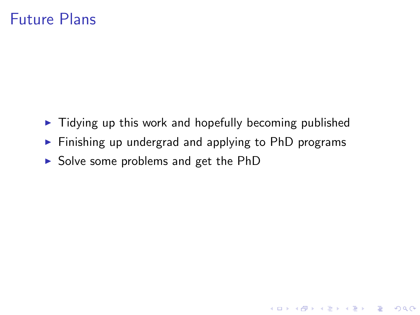- $\blacktriangleright$  Tidying up this work and hopefully becoming published
- $\triangleright$  Finishing up undergrad and applying to PhD programs

K ロ ▶ K @ ▶ K 할 > K 할 > 1 할 > 1 이익어

 $\triangleright$  Solve some problems and get the PhD